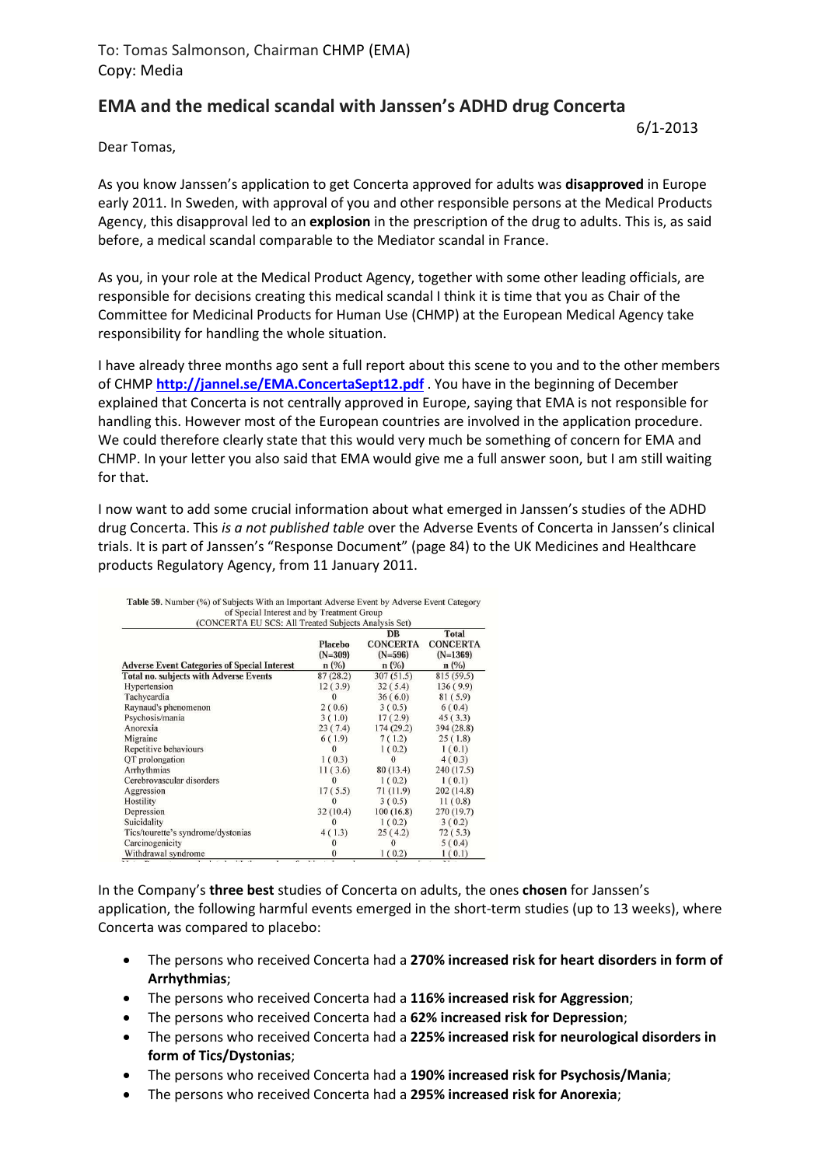## **EMA and the medical scandal with Janssen's ADHD drug Concerta**

6/1-2013

Dear Tomas,

As you know Janssen's application to get Concerta approved for adults was **disapproved** in Europe early 2011. In Sweden, with approval of you and other responsible persons at the Medical Products Agency, this disapproval led to an **explosion** in the prescription of the drug to adults. This is, as said before, a medical scandal comparable to the Mediator scandal in France.

As you, in your role at the Medical Product Agency, together with some other leading officials, are responsible for decisions creating this medical scandal I think it is time that you as Chair of the Committee for Medicinal Products for Human Use (CHMP) at the European Medical Agency take responsibility for handling the whole situation.

I have already three months ago sent a full report about this scene to you and to the other members of CHMP **http://jannel.se/EMA.ConcertaSept12.pdf** . You have in the beginning of December explained that Concerta is not centrally approved in Europe, saying that EMA is not responsible for handling this. However most of the European countries are involved in the application procedure. We could therefore clearly state that this would very much be something of concern for EMA and CHMP. In your letter you also said that EMA would give me a full answer soon, but I am still waiting for that.

I now want to add some crucial information about what emerged in Janssen's studies of the ADHD drug Concerta. This *is a not published table* over the Adverse Events of Concerta in Janssen's clinical trials. It is part of Janssen's "Response Document" (page 84) to the UK Medicines and Healthcare products Regulatory Agency, from 11 January 2011.

| of Special Interest and by Treatment Group           |                              |                                         |                                       |
|------------------------------------------------------|------------------------------|-----------------------------------------|---------------------------------------|
| (CONCERTA EU SCS: All Treated Subjects Analysis Set) |                              | DB                                      | <b>Total</b>                          |
| <b>Adverse Event Categories of Special Interest</b>  | Placebo<br>$(N=309)$<br>n(%) | <b>CONCERTA</b><br>$(N=596)$<br>$n(\%)$ | <b>CONCERTA</b><br>$(N=1369)$<br>n(%) |
| <b>Total no. subjects with Adverse Events</b>        | 87(28.2)                     | 307(51.5)                               | 815 (59.5)                            |
| Hypertension                                         | 12(3.9)                      | 32(5.4)                                 | 136(9.9)                              |
| Tachycardia                                          |                              | 36(6.0)                                 | 81(5.9)                               |
| Raynaud's phenomenon                                 | 2(0.6)                       | 3(0.5)                                  | 6(0.4)                                |
| Psychosis/mania                                      | 3(1.0)                       | 17(2.9)                                 | 45(3.3)                               |
| Anorexia                                             | 23(7.4)                      | 174(29.2)                               | 394 (28.8)                            |
| Migraine                                             | 6(1.9)                       | 7(1.2)                                  | 25(1.8)                               |
| Repetitive behaviours                                |                              | 1(0.2)                                  | 1(0.1)                                |
| QT prolongation                                      | 1(0.3)                       | 0                                       | 4(0.3)                                |
| Arrhythmias                                          | 11(3.6)                      | 80 (13.4)                               | 240 (17.5)                            |
| Cerebrovascular disorders                            |                              | 1(0.2)                                  | 1(0.1)                                |
| Aggression                                           | 17(5.5)                      | 71 (11.9)                               | 202(14.8)                             |
| Hostility                                            | $\Omega$                     | 3(0.5)                                  | 11(0.8)                               |
| Depression                                           | 32(10.4)                     | 100(16.8)                               | 270 (19.7)                            |
| Suicidality                                          |                              | 1(0.2)                                  | 3(0.2)                                |
| Tics/tourette's syndrome/dystonias                   | 4(1.3)                       | 25(4.2)                                 | 72(5.3)                               |
| Carcinogenicity                                      |                              | $\Omega$                                | 5(0.4)                                |
| Withdrawal syndrome                                  |                              | 1(0.2)                                  | 1(0.1)                                |

| Table 59. Number (%) of Subjects With an Important Adverse Event by Adverse Event Category |
|--------------------------------------------------------------------------------------------|
| of Special Interest and by Treatment Group                                                 |
| (COMCERTA ELLECE, All Treated Subjects Analysis Set)                                       |

In the Company's **three best** studies of Concerta on adults, the ones **chosen** for Janssen's application, the following harmful events emerged in the short-term studies (up to 13 weeks), where Concerta was compared to placebo:

- The persons who received Concerta had a **270% increased risk for heart disorders in form of Arrhythmias**;
- The persons who received Concerta had a **116% increased risk for Aggression**;
- The persons who received Concerta had a **62% increased risk for Depression**;
- The persons who received Concerta had a **225% increased risk for neurological disorders in form of Tics/Dystonias**;
- The persons who received Concerta had a **190% increased risk for Psychosis/Mania**;
- The persons who received Concerta had a **295% increased risk for Anorexia**;